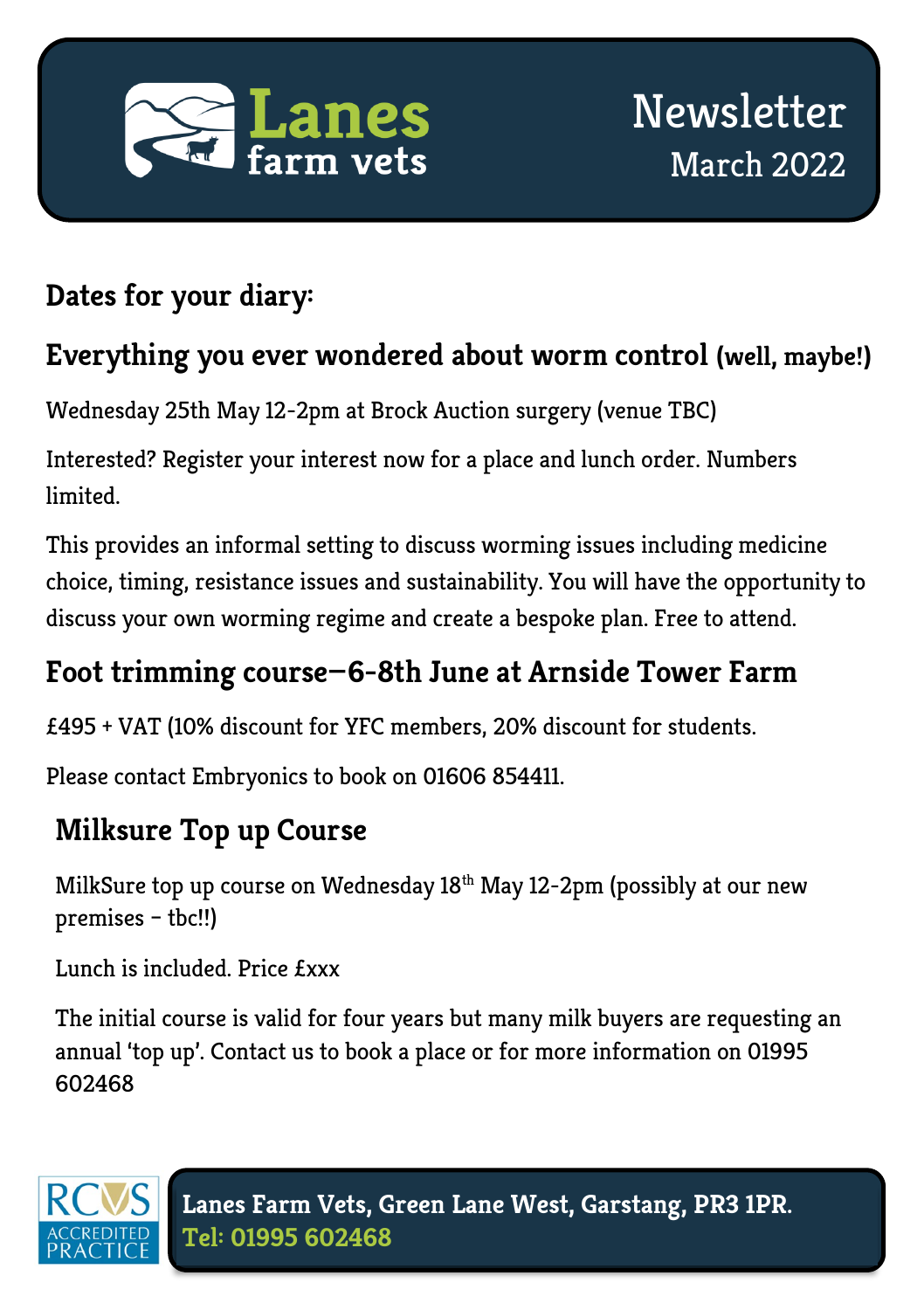

## **Dates for your diary:**

#### **Everything you ever wondered about worm control (well, maybe!)**

Wednesday 25th May 12-2pm at Brock Auction surgery (venue TBC)

Interested? Register your interest now for a place and lunch order. Numbers limited.

This provides an informal setting to discuss worming issues including medicine choice, timing, resistance issues and sustainability. You will have the opportunity to discuss your own worming regime and create a bespoke plan. Free to attend.

#### **Foot trimming course—6-8th June at Arnside Tower Farm**

£495 + VAT (10% discount for YFC members, 20% discount for students.

Please contact Embryonics to book on 01606 854411.

# **Milksure Top up Course**

MilkSure top up course on Wednesday 18<sup>th</sup> May 12-2pm (possibly at our new premises – tbc!!)

Lunch is included. Price £xxx

The initial course is valid for four years but many milk buyers are requesting an annual 'top up'. Contact us to book a place or for more information on 01995 602468

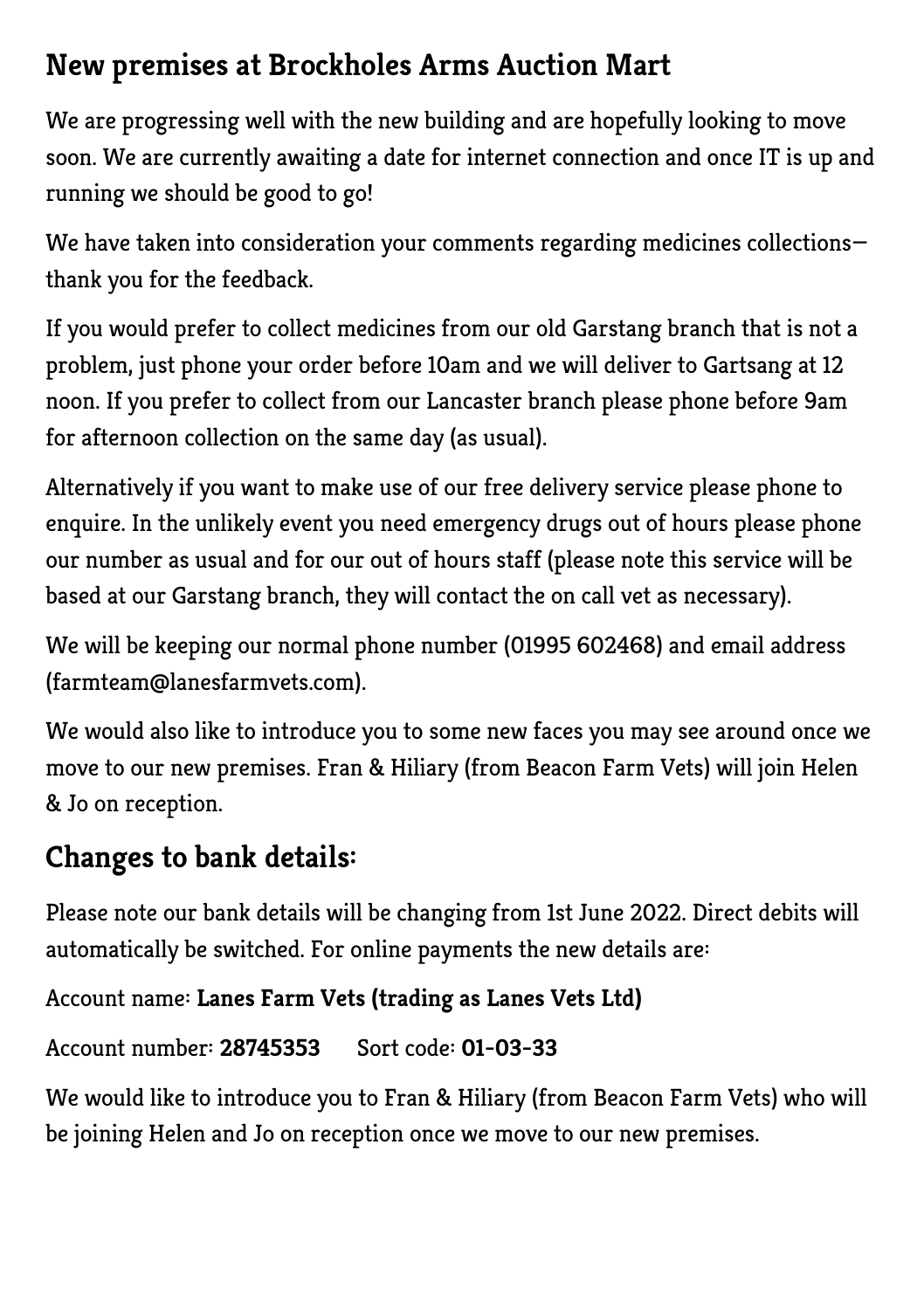#### **New premises at Brockholes Arms Auction Mart**

We are progressing well with the new building and are hopefully looking to move soon. We are currently awaiting a date for internet connection and once IT is up and running we should be good to go!

We have taken into consideration your comments regarding medicines collectionsthank you for the feedback.

If you would prefer to collect medicines from our old Garstang branch that is not a problem, just phone your order before 10am and we will deliver to Gartsang at 12 noon. If you prefer to collect from our Lancaster branch please phone before 9am for afternoon collection on the same day (as usual).

Alternatively if you want to make use of our free delivery service please phone to enquire. In the unlikely event you need emergency drugs out of hours please phone our number as usual and for our out of hours staff (please note this service will be based at our Garstang branch, they will contact the on call vet as necessary).

We will be keeping our normal phone number (01995 602468) and email address (farmteam@lanesfarmvets.com).

We would also like to introduce you to some new faces you may see around once we move to our new premises. Fran & Hiliary (from Beacon Farm Vets) will join Helen & Jo on reception.

#### **Changes to bank details:**

Please note our bank details will be changing from 1st June 2022. Direct debits will automatically be switched. For online payments the new details are:

Account name: **Lanes Farm Vets (trading as Lanes Vets Ltd)**

```
Account number: 28745353 Sort code: 01-03-33
```
We would like to introduce you to Fran & Hiliary (from Beacon Farm Vets) who will be joining Helen and Jo on reception once we move to our new premises.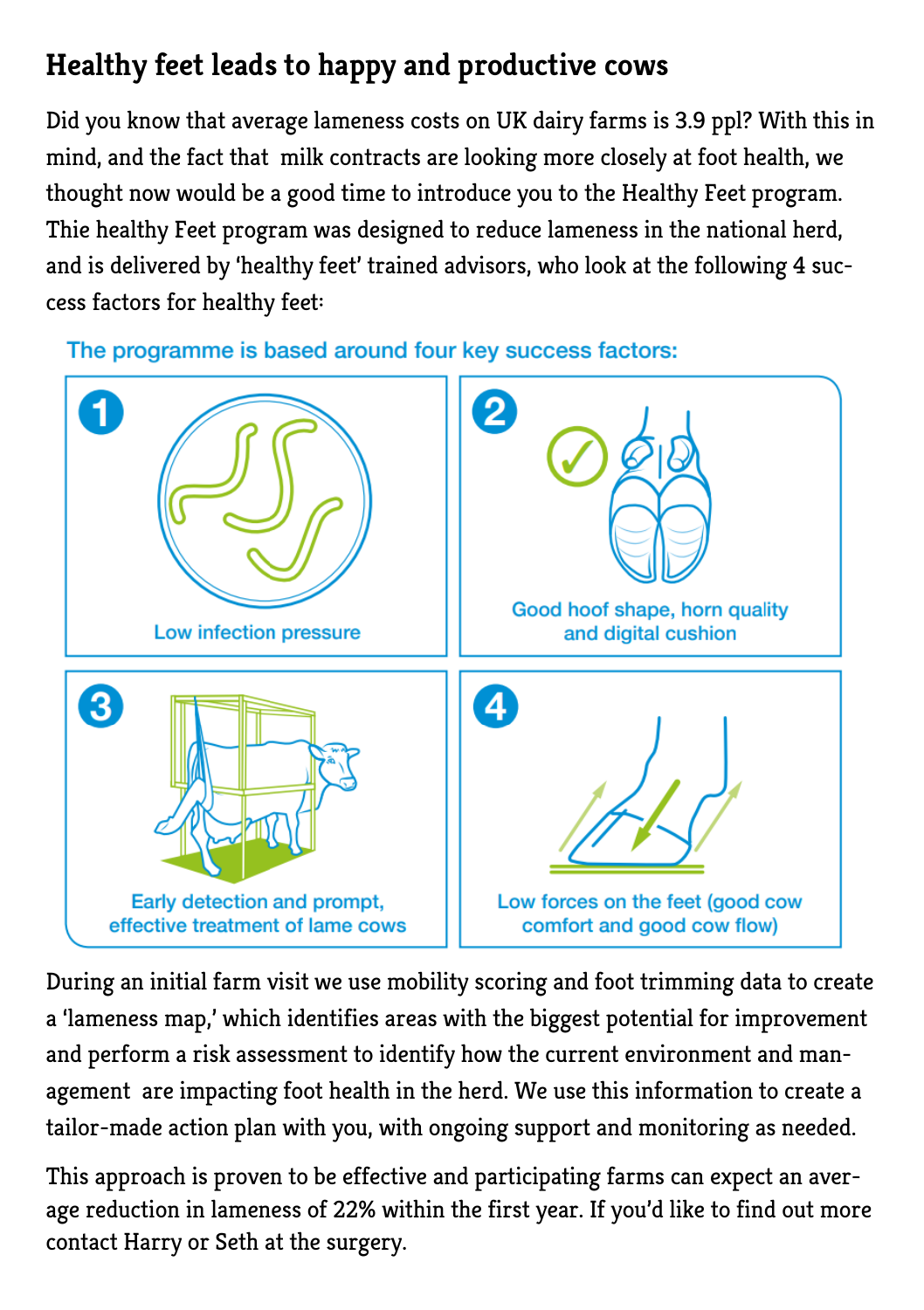# **Healthy feet leads to happy and productive cows**

Did you know that average lameness costs on UK dairy farms is 3.9 ppl? With this in mind, and the fact that milk contracts are looking more closely at foot health, we thought now would be a good time to introduce you to the Healthy Feet program. Thie healthy Feet program was designed to reduce lameness in the national herd, and is delivered by 'healthy feet' trained advisors, who look at the following 4 success factors for healthy feet:

The programme is based around four key success factors:



During an initial farm visit we use mobility scoring and foot trimming data to create a 'lameness map,' which identifies areas with the biggest potential for improvement and perform a risk assessment to identify how the current environment and management are impacting foot health in the herd. We use this information to create a tailor-made action plan with you, with ongoing support and monitoring as needed.

This approach is proven to be effective and participating farms can expect an average reduction in lameness of 22% within the first year. If you'd like to find out more contact Harry or Seth at the surgery.